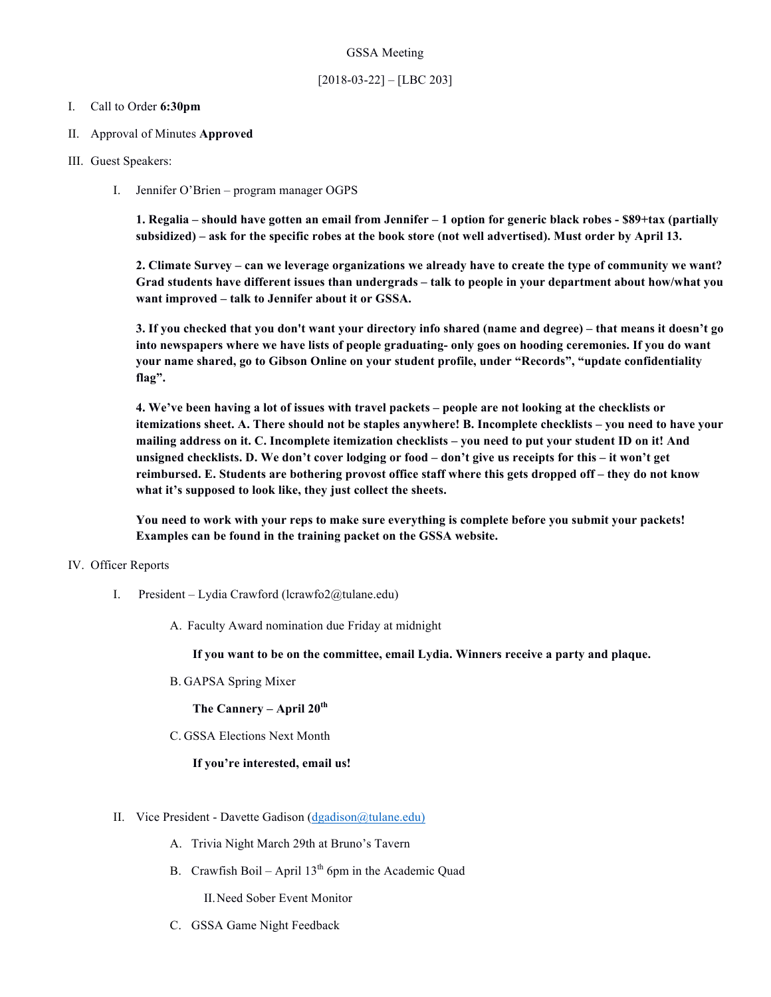#### GSSA Meeting

# [2018-03-22] – [LBC 203]

#### I. Call to Order **6:30pm**

- II. Approval of Minutes **Approved**
- III. Guest Speakers:
	- I. Jennifer O'Brien program manager OGPS

**1. Regalia – should have gotten an email from Jennifer – 1 option for generic black robes - \$89+tax (partially subsidized) – ask for the specific robes at the book store (not well advertised). Must order by April 13.**

**2. Climate Survey – can we leverage organizations we already have to create the type of community we want? Grad students have different issues than undergrads – talk to people in your department about how/what you want improved – talk to Jennifer about it or GSSA.**

**3. If you checked that you don't want your directory info shared (name and degree) – that means it doesn't go into newspapers where we have lists of people graduating- only goes on hooding ceremonies. If you do want your name shared, go to Gibson Online on your student profile, under "Records", "update confidentiality flag".** 

**4. We've been having a lot of issues with travel packets – people are not looking at the checklists or itemizations sheet. A. There should not be staples anywhere! B. Incomplete checklists – you need to have your mailing address on it. C. Incomplete itemization checklists – you need to put your student ID on it! And unsigned checklists. D. We don't cover lodging or food – don't give us receipts for this – it won't get reimbursed. E. Students are bothering provost office staff where this gets dropped off – they do not know what it's supposed to look like, they just collect the sheets.** 

**You need to work with your reps to make sure everything is complete before you submit your packets! Examples can be found in the training packet on the GSSA website.** 

### IV. Officer Reports

- I. President Lydia Crawford (lcrawfo2@tulane.edu)
	- A. Faculty Award nomination due Friday at midnight

**If you want to be on the committee, email Lydia. Winners receive a party and plaque.**

B. GAPSA Spring Mixer

### **The Cannery – April 20th**

C. GSSA Elections Next Month

### **If you're interested, email us!**

- II. Vice President Davette Gadison (dgadison@tulane.edu)
	- A. Trivia Night March 29th at Bruno's Tavern
	- B. Crawfish Boil April  $13<sup>th</sup>$  6pm in the Academic Quad

II.Need Sober Event Monitor

C. GSSA Game Night Feedback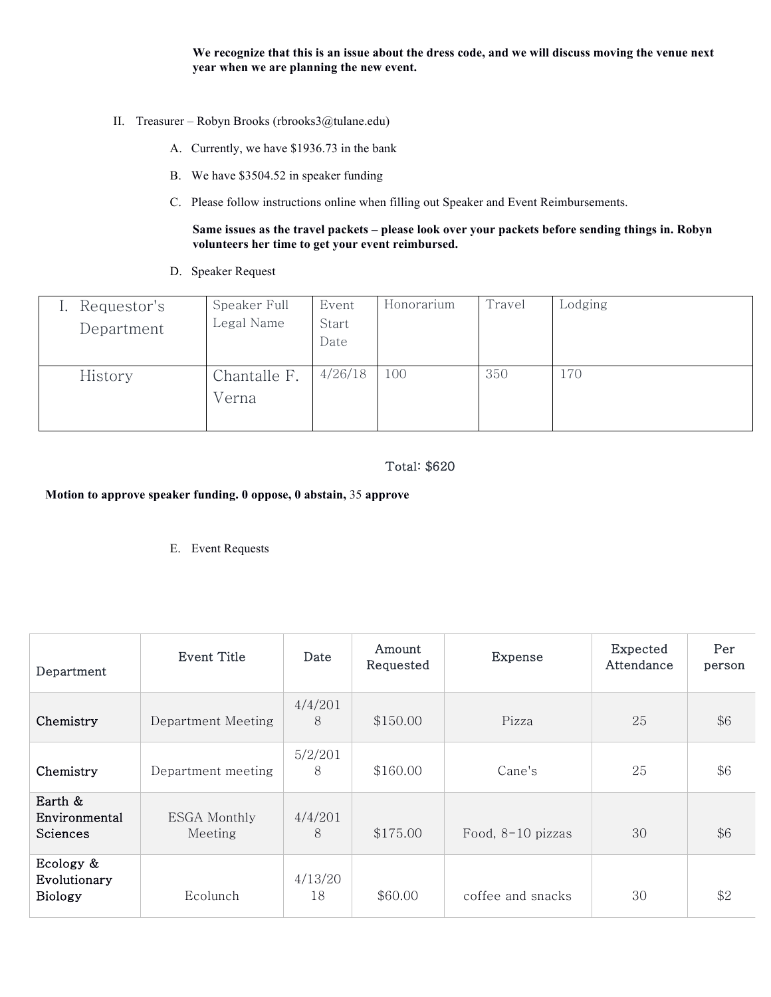**We recognize that this is an issue about the dress code, and we will discuss moving the venue next year when we are planning the new event.** 

- II. Treasurer Robyn Brooks (rbrooks3@tulane.edu)
	- A. Currently, we have \$1936.73 in the bank
	- B. We have \$3504.52 in speaker funding
	- C. Please follow instructions online when filling out Speaker and Event Reimbursements.

**Same issues as the travel packets – please look over your packets before sending things in. Robyn volunteers her time to get your event reimbursed.** 

D. Speaker Request

| Requestor's<br>Department | Speaker Full<br>Legal Name | Event<br>Start<br>Date | Honorarium | Travel | Lodging |
|---------------------------|----------------------------|------------------------|------------|--------|---------|
| History                   | Chantalle F.<br>Verna      | 4/26/18                | 100        | 350    | 170     |

# Total: \$620

# **Motion to approve speaker funding. 0 oppose, 0 abstain,** 35 **approve**

E. Event Requests

| Department                                  | Event Title             | Date          | Amount<br>Requested | Expense           | Expected<br>Attendance | Per<br>person |
|---------------------------------------------|-------------------------|---------------|---------------------|-------------------|------------------------|---------------|
| Chemistry                                   | Department Meeting      | 4/4/201<br>8  | \$150.00            | Pizza             | 25                     | \$6           |
| Chemistry                                   | Department meeting      | 5/2/201<br>8  | \$160.00            | Cane's            | 25                     | \$6           |
| Earth &<br>Environmental<br>Sciences        | ESGA Monthly<br>Meeting | 4/4/201<br>8  | \$175.00            | Food, 8-10 pizzas | 30                     | \$6           |
| Ecology &<br>Evolutionary<br><b>Biology</b> | Ecolunch                | 4/13/20<br>18 | \$60.00             | coffee and snacks | 30                     | \$2           |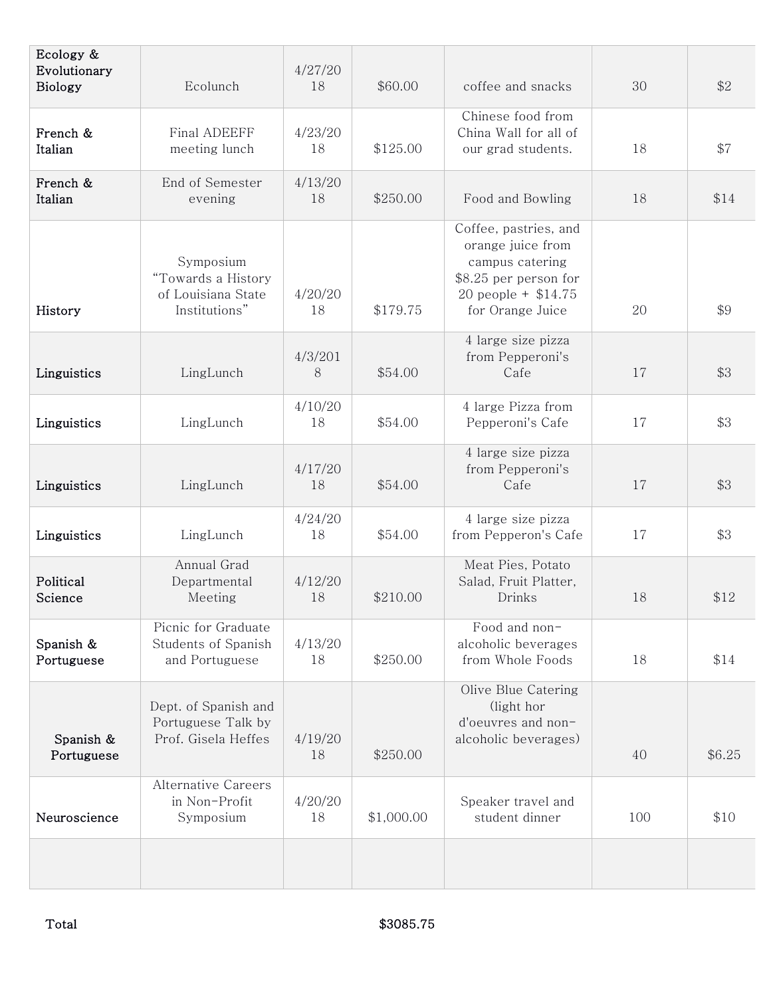| Ecology &<br>Evolutionary<br>Biology | Ecolunch                                                               | 4/27/20<br>18 | \$60.00    | coffee and snacks                                                                                                                  | 30  | \$2    |
|--------------------------------------|------------------------------------------------------------------------|---------------|------------|------------------------------------------------------------------------------------------------------------------------------------|-----|--------|
| French &<br>Italian                  | Final ADEEFF<br>meeting lunch                                          | 4/23/20<br>18 | \$125.00   | Chinese food from<br>China Wall for all of<br>our grad students.                                                                   | 18  | \$7    |
| French &<br>Italian                  | End of Semester<br>evening                                             | 4/13/20<br>18 | \$250.00   | Food and Bowling                                                                                                                   | 18  | \$14   |
| History                              | Symposium<br>"Towards a History<br>of Louisiana State<br>Institutions" | 4/20/20<br>18 | \$179.75   | Coffee, pastries, and<br>orange juice from<br>campus catering<br>\$8.25 per person for<br>20 people + $$14.75$<br>for Orange Juice | 20  | \$9    |
| Linguistics                          | LingLunch                                                              | 4/3/201<br>8  | \$54.00    | 4 large size pizza<br>from Pepperoni's<br>Cafe                                                                                     | 17  | \$3    |
| Linguistics                          | LingLunch                                                              | 4/10/20<br>18 | \$54.00    | 4 large Pizza from<br>Pepperoni's Cafe                                                                                             | 17  | \$3    |
| Linguistics                          | LingLunch                                                              | 4/17/20<br>18 | \$54.00    | 4 large size pizza<br>from Pepperoni's<br>Cafe                                                                                     | 17  | \$3    |
| Linguistics                          | LingLunch                                                              | 4/24/20<br>18 | \$54.00    | 4 large size pizza<br>from Pepperon's Cafe                                                                                         | 17  | \$3    |
| Political<br>Science                 | Annual Grad<br>Departmental<br>Meeting                                 | 4/12/20<br>18 | \$210.00   | Meat Pies, Potato<br>Salad, Fruit Platter,<br>Drinks                                                                               | 18  | \$12   |
| Spanish &<br>Portuguese              | Picnic for Graduate<br>Students of Spanish<br>and Portuguese           | 4/13/20<br>18 | \$250.00   | Food and non-<br>alcoholic beverages<br>from Whole Foods                                                                           | 18  | \$14   |
| Spanish &<br>Portuguese              | Dept. of Spanish and<br>Portuguese Talk by<br>Prof. Gisela Heffes      | 4/19/20<br>18 | \$250.00   | Olive Blue Catering<br>(light hor<br>d'oeuvres and non-<br>alcoholic beverages)                                                    | 40  | \$6.25 |
| Neuroscience                         | <b>Alternative Careers</b><br>in Non-Profit<br>Symposium               | 4/20/20<br>18 | \$1,000.00 | Speaker travel and<br>student dinner                                                                                               | 100 | \$10   |
|                                      |                                                                        |               |            |                                                                                                                                    |     |        |